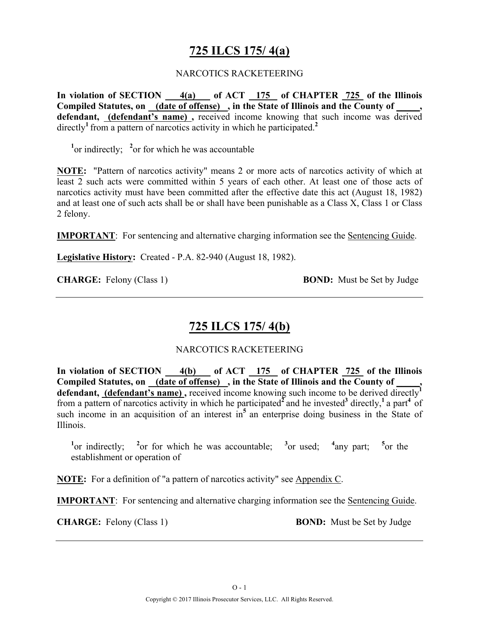## **725 ILCS 175/ 4(a)**

#### NARCOTICS RACKETEERING

In violation of SECTION 4(a) of ACT 175 of CHAPTER 725 of the Illinois **Compiled Statutes, on (date of offense) , in the State of Illinois and the County of \_\_\_\_\_, defendant, (defendant's name) ,** received income knowing that such income was derived directly<sup>1</sup> from a pattern of narcotics activity in which he participated.<sup>2</sup>

<sup>1</sup> or indirectly; <sup>2</sup> or for which he was accountable

**NOTE:** "Pattern of narcotics activity" means 2 or more acts of narcotics activity of which at least 2 such acts were committed within 5 years of each other. At least one of those acts of narcotics activity must have been committed after the effective date this act (August 18, 1982) and at least one of such acts shall be or shall have been punishable as a Class X, Class 1 or Class 2 felony.

**IMPORTANT**: For sentencing and alternative charging information see the Sentencing Guide.

**Legislative History:** Created - P.A. 82-940 (August 18, 1982).

**CHARGE:** Felony (Class 1) **BOND:** Must be Set by Judge

## **725 ILCS 175/ 4(b)**

#### NARCOTICS RACKETEERING

**In violation of SECTION 4(b) of ACT 175 of CHAPTER 725 of the Illinois Compiled Statutes, on (date of offense) , in the State of Illinois and the County of \_\_\_\_\_,**  defendant, (defendant's name), received income knowing such income to be derived directly<sup>1</sup> from a pattern of narcotics activity in which he participated<sup> $\overline{2}$ </sup> and he invested<sup>3</sup> directly,<sup>1</sup> a part<sup>4</sup> of such income in an acquisition of an interest in<sup>5</sup> an enterprise doing business in the State of Illinois.

<sup>1</sup><sub>0</sub> or indirectly; <sup>2</sup><sub>0</sub> or for which he was accountable; <sup>3</sup><sub>0</sub> used; <sup>4</sup> <sup>4</sup>any part; <sup>5</sup><sub>or the</sub> establishment or operation of

**NOTE:** For a definition of "a pattern of narcotics activity" see Appendix C.

**IMPORTANT**: For sentencing and alternative charging information see the Sentencing Guide.

**CHARGE:** Felony (Class 1) **BOND:** Must be Set by Judge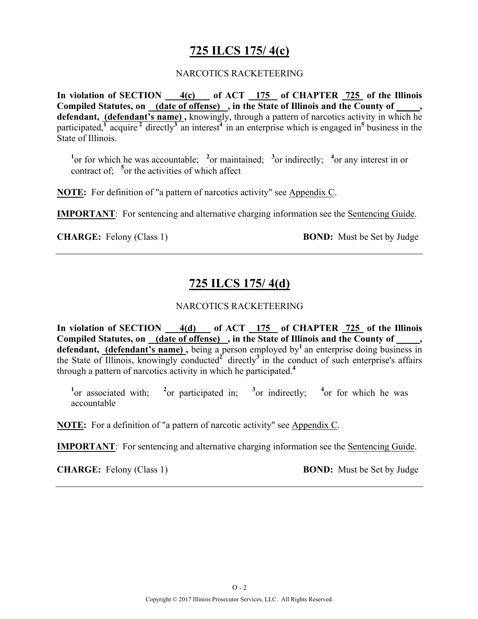## **725 ILCS 175/ 4(c)**

#### NARCOTICS RACKETEERING

**In violation of SECTION 4(c) of ACT 175 of CHAPTER 725 of the Illinois Compiled Statutes, on (date of offense) , in the State of Illinois and the County of \_\_\_\_\_, defendant, (defendant's name) ,** knowingly, through a pattern of narcotics activity in which he participated, $\frac{1}{4}$  acquire  $\frac{2}{3}$  directly<sup>3</sup> an interest<sup>4</sup> in an enterprise which is engaged in<sup>5</sup> business in the State of Illinois.

<sup>1</sup><sup>or</sup> for which he was accountable; <sup>2</sup><sup>or</sup> maintained; <sup>3</sup><sup>or</sup> indirectly; <sup>4</sup><sup>or</sup> any interest in or contract of; **<sup>5</sup>** or the activities of which affect

**NOTE:** For definition of "a pattern of narcotics activity" see Appendix C.

**IMPORTANT**: For sentencing and alternative charging information see the Sentencing Guide.

**CHARGE:** Felony (Class 1) **BOND:** Must be Set by Judge

## **725 ILCS 175/ 4(d)**

#### NARCOTICS RACKETEERING

**In violation of SECTION 4(d) of ACT 175 of CHAPTER 725 of the Illinois**  Compiled Statutes, on (date of offense), in the State of Illinois and the County of, defendant, (defendant's name), being a person employed by<sup>1</sup> an enterprise doing business in the State of Illinois, knowingly conducted<sup>2</sup> directly<sup>3</sup> in the conduct of such enterprise's affairs through a pattern of narcotics activity in which he participated.**<sup>4</sup>**

**1** or associated with; **<sup>2</sup>** <sup>2</sup><sub>or</sub> participated in; <sup>3</sup> or indirectly: <sup>4</sup> or for which he was accountable

**NOTE:** For a definition of "a pattern of narcotic activity" see Appendix C.

**IMPORTANT**: For sentencing and alternative charging information see the Sentencing Guide.

**CHARGE:** Felony (Class 1) **BOND:** Must be Set by Judge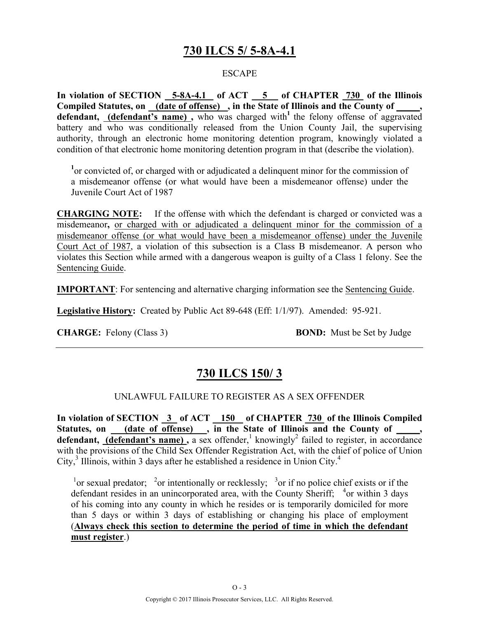## **730 ILCS 5/ 5-8A-4.1**

#### ESCAPE

**In violation of SECTION 5-8A-4.1 of ACT 5 of CHAPTER 730 of the Illinois Compiled Statutes, on (date of offense) , in the State of Illinois and the County of \_\_\_\_\_, defendant, (defendant's name),** who was charged with<sup>1</sup> the felony offense of aggravated battery and who was conditionally released from the Union County Jail, the supervising authority, through an electronic home monitoring detention program, knowingly violated a condition of that electronic home monitoring detention program in that (describe the violation).

<sup>1</sup> or convicted of, or charged with or adjudicated a delinquent minor for the commission of a misdemeanor offense (or what would have been a misdemeanor offense) under the Juvenile Court Act of 1987

**CHARGING NOTE:** If the offense with which the defendant is charged or convicted was a misdemeanor**,** or charged with or adjudicated a delinquent minor for the commission of a misdemeanor offense (or what would have been a misdemeanor offense) under the Juvenile Court Act of 1987, a violation of this subsection is a Class B misdemeanor. A person who violates this Section while armed with a dangerous weapon is guilty of a Class 1 felony. See the Sentencing Guide.

**IMPORTANT**: For sentencing and alternative charging information see the Sentencing Guide.

**Legislative History:** Created by Public Act 89-648 (Eff: 1/1/97). Amended: 95-921.

**CHARGE:** Felony (Class 3) **BOND:** Must be Set by Judge

## **730 ILCS 150/ 3**

#### UNLAWFUL FAILURE TO REGISTER AS A SEX OFFENDER

**In violation of SECTION 3 of ACT 150 of CHAPTER 730 of the Illinois Compiled**  Statutes, on (date of offense), in the State of Illinois and the County of, **defendant, (defendant's name)**, a sex offender,<sup>1</sup> knowingly<sup>2</sup> failed to register, in accordance with the provisions of the Child Sex Offender Registration Act, with the chief of police of Union City, $3$  Illinois, within 3 days after he established a residence in Union City.<sup>4</sup>

<sup>1</sup> or sexual predator; <sup>2</sup> or intentionally or recklessly; <sup>3</sup> or if no police chief exists or if the defendant resides in an unincorporated area, with the County Sheriff; <sup>4</sup>or within 3 days of his coming into any county in which he resides or is temporarily domiciled for more than 5 days or within 3 days of establishing or changing his place of employment (**Always check this section to determine the period of time in which the defendant must register**.)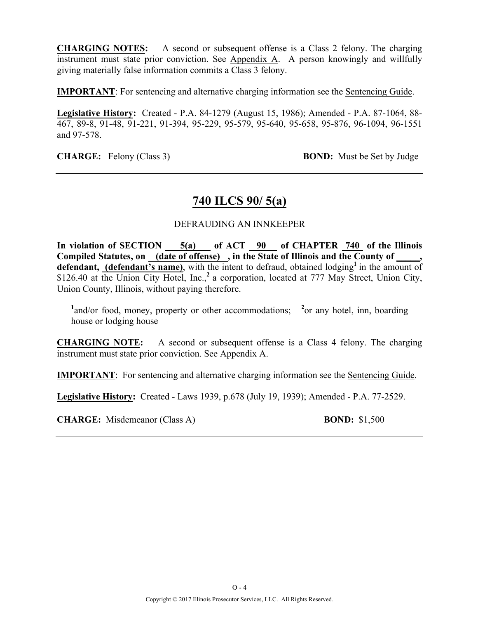**CHARGING NOTES:** A second or subsequent offense is a Class 2 felony. The charging instrument must state prior conviction. See Appendix A. A person knowingly and willfully giving materially false information commits a Class 3 felony.

**IMPORTANT**: For sentencing and alternative charging information see the Sentencing Guide.

**Legislative History:** Created - P.A. 84-1279 (August 15, 1986); Amended - P.A. 87-1064, 88- 467, 89-8, 91-48, 91-221, 91-394, 95-229, 95-579, 95-640, 95-658, 95-876, 96-1094, 96-1551 and 97-578.

**CHARGE:** Felony (Class 3) **BOND:** Must be Set by Judge

### **740 ILCS 90/ 5(a)**

#### DEFRAUDING AN INNKEEPER

**In violation of SECTION 5(a) of ACT 90 of CHAPTER 740 of the Illinois**  Compiled Statutes, on (date of offense), in the State of Illinois and the County of defendant, (defendant's name), with the intent to defraud, obtained lodging<sup>1</sup> in the amount of \$126.40 at the Union City Hotel, Inc.<sup>2</sup> a corporation, located at 777 May Street, Union City, Union County, Illinois, without paying therefore.

<sup>1</sup> and/or food, money, property or other accommodations; <sup>2</sup> or any hotel, inn, boarding house or lodging house

**CHARGING NOTE:** A second or subsequent offense is a Class 4 felony. The charging instrument must state prior conviction. See Appendix A.

**IMPORTANT**: For sentencing and alternative charging information see the Sentencing Guide.

**Legislative History:** Created - Laws 1939, p.678 (July 19, 1939); Amended - P.A. 77-2529.

**CHARGE:** Misdemeanor (Class A) **BOND:** \$1,500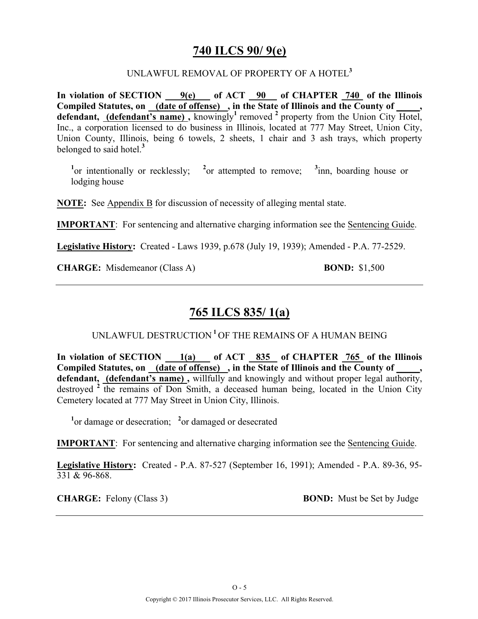### **740 ILCS 90/ 9(e)**

#### UNLAWFUL REMOVAL OF PROPERTY OF A HOTEL**<sup>3</sup>**

**In violation of SECTION 9(e) of ACT 90 of CHAPTER 740 of the Illinois Compiled Statutes, on (date of offense) , in the State of Illinois and the County of \_\_\_\_\_, defendant, (defendant's name),** knowingly<sup>1</sup> removed  $^2$  property from the Union City Hotel, Inc., a corporation licensed to do business in Illinois, located at 777 May Street, Union City, Union County, Illinois, being 6 towels, 2 sheets, 1 chair and 3 ash trays, which property belonged to said hotel.**<sup>3</sup>**

<sup>1</sup><sup>or</sup> intentionally or recklessly; <sup>2</sup><sup>or</sup> attempted to remove; <sup>3</sup> inn, boarding house or lodging house

**NOTE:** See Appendix B for discussion of necessity of alleging mental state.

**IMPORTANT**: For sentencing and alternative charging information see the Sentencing Guide.

**Legislative History:** Created - Laws 1939, p.678 (July 19, 1939); Amended - P.A. 77-2529.

**CHARGE:** Misdemeanor (Class A) **BOND:** \$1,500

## **765 ILCS 835/ 1(a)**

UNLAWFUL DESTRUCTION **<sup>1</sup>**OF THE REMAINS OF A HUMAN BEING

**In violation of SECTION 1(a) of ACT 835 of CHAPTER 765 of the Illinois**  Compiled Statutes, on <u>(date of offense)</u>, in the State of Illinois and the County of **defendant, (defendant's name) ,** willfully and knowingly and without proper legal authority, destroyed  $2 \text{ the remains of Don Smith, a decreased human being, located in the Union City.}$ Cemetery located at 777 May Street in Union City, Illinois.

<sup>1</sup><sup>or</sup> damage or desecration; <sup>2</sup><sub>or</sub> damaged or desecrated

**IMPORTANT**: For sentencing and alternative charging information see the Sentencing Guide.

**Legislative History:** Created - P.A. 87-527 (September 16, 1991); Amended - P.A. 89-36, 95- 331 & 96-868.

**CHARGE:** Felony (Class 3) **BOND:** Must be Set by Judge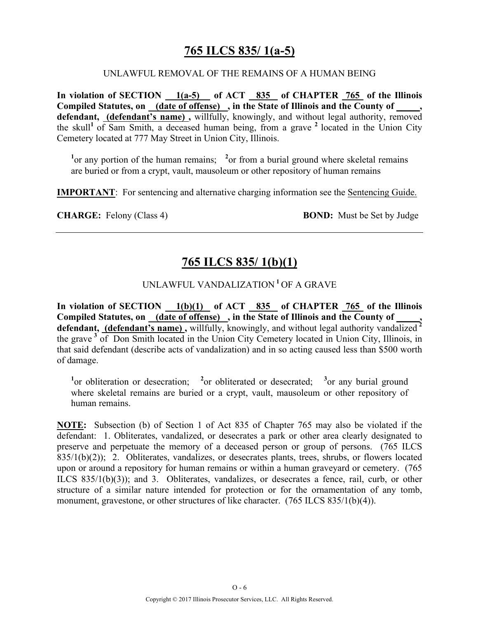## **765 ILCS 835/ 1(a-5)**

#### UNLAWFUL REMOVAL OF THE REMAINS OF A HUMAN BEING

**In violation of SECTION 1(a-5) of ACT 835 of CHAPTER 765 of the Illinois Compiled Statutes, on (date of offense) , in the State of Illinois and the County of \_\_\_\_\_,**  defendant, (defendant's name), willfully, knowingly, and without legal authority, removed the skull<sup>1</sup> of Sam Smith, a deceased human being, from a grave  $\frac{2}{3}$  located in the Union City Cemetery located at 777 May Street in Union City, Illinois.

<sup>1</sup> or any portion of the human remains; <sup>2</sup> or from a burial ground where skeletal remains are buried or from a crypt, vault, mausoleum or other repository of human remains

**IMPORTANT**: For sentencing and alternative charging information see the Sentencing Guide.

**CHARGE:** Felony (Class 4) **BOND:** Must be Set by Judge

## **765 ILCS 835/ 1(b)(1)**

### UNLAWFUL VANDALIZATION **<sup>1</sup>**OF A GRAVE

**In violation of SECTION 1(b)(1) of ACT 835 of CHAPTER 765 of the Illinois**  Compiled Statutes, on <u>(date of offense)</u>, in the State of Illinois and the County of \_\_\_\_, **defendant, (defendant's name) ,** willfully, knowingly, and without legal authority vandalized **<sup>2</sup>** the grave **<sup>3</sup>** of Don Smith located in the Union City Cemetery located in Union City, Illinois, in that said defendant (describe acts of vandalization) and in so acting caused less than \$500 worth of damage.

<sup>1</sup><sup>or</sup> obliteration or desecration; <sup>2</sup><sup>or</sup> obliterated or desecrated; <sup>3</sup><sup>or</sup> any burial ground where skeletal remains are buried or a crypt, vault, mausoleum or other repository of human remains.

**NOTE:** Subsection (b) of Section 1 of Act 835 of Chapter 765 may also be violated if the defendant: 1. Obliterates, vandalized, or desecrates a park or other area clearly designated to preserve and perpetuate the memory of a deceased person or group of persons. (765 ILCS  $835/1(b)(2)$ ; 2. Obliterates, vandalizes, or desecrates plants, trees, shrubs, or flowers located upon or around a repository for human remains or within a human graveyard or cemetery. (765 ILCS 835/1(b)(3)); and 3. Obliterates, vandalizes, or desecrates a fence, rail, curb, or other structure of a similar nature intended for protection or for the ornamentation of any tomb, monument, gravestone, or other structures of like character. (765 ILCS 835/1(b)(4)).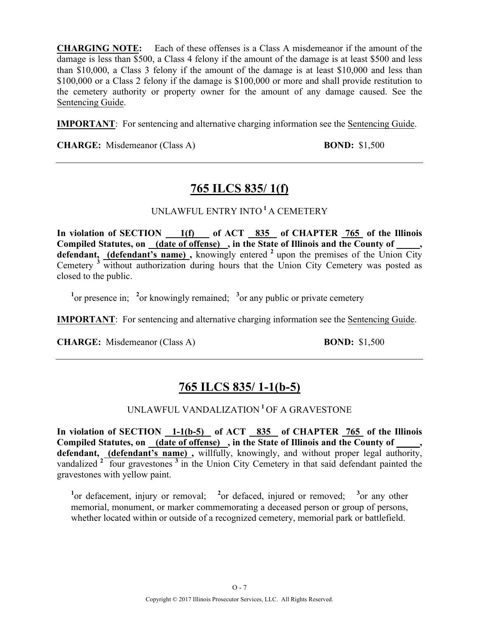**CHARGING NOTE:** Each of these offenses is a Class A misdemeanor if the amount of the damage is less than \$500, a Class 4 felony if the amount of the damage is at least \$500 and less than \$10,000, a Class 3 felony if the amount of the damage is at least \$10,000 and less than \$100,000 or a Class 2 felony if the damage is \$100,000 or more and shall provide restitution to the cemetery authority or property owner for the amount of any damage caused. See the Sentencing Guide.

**IMPORTANT**: For sentencing and alternative charging information see the Sentencing Guide.

**CHARGE:** Misdemeanor (Class A) **BOND:** \$1,500

# **765 ILCS 835/ 1(f)**

### UNLAWFUL ENTRY INTO **<sup>1</sup>**A CEMETERY

**In violation of SECTION 1(f) of ACT 835 of CHAPTER 765 of the Illinois**  Compiled Statutes, on <u>(date of offense)</u>, in the State of Illinois and the County of defendant, (defendant's name), knowingly entered <sup>2</sup> upon the premises of the Union City Cemetery <sup>3</sup> without authorization during hours that the Union City Cemetery was posted as closed to the public.

<sup>1</sup><sup>or</sup> presence in; <sup>2</sup><sup>or</sup> knowingly remained; <sup>3</sup><sup>or</sup> any public or private cemetery

**IMPORTANT**: For sentencing and alternative charging information see the Sentencing Guide.

**CHARGE:** Misdemeanor (Class A) **BOND:** \$1,500

# **765 ILCS 835/ 1-1(b-5)**

UNLAWFUL VANDALIZATION **<sup>1</sup>**OF A GRAVESTONE

**In violation of SECTION 1-1(b-5) of ACT 835 of CHAPTER 765 of the Illinois**  Compiled Statutes, on (date of offense), in the State of Illinois and the County of defendant, (defendant's name), willfully, knowingly, and without proper legal authority, vandalized  $2\frac{1}{\sqrt{2}}$  four gravestones  $3\frac{1}{\sqrt{2}}$  in the Union City Cemetery in that said defendant painted the gravestones with yellow paint.

<sup>1</sup><sup>or</sup> defacement, injury or removal; <sup>2</sup><sup>or</sup> defaced, injured or removed; <sup>3</sup><sup>or</sup> any other memorial, monument, or marker commemorating a deceased person or group of persons, whether located within or outside of a recognized cemetery, memorial park or battlefield.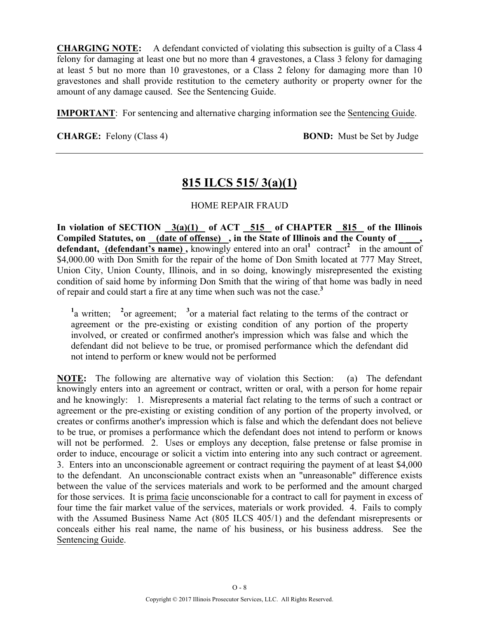**CHARGING NOTE:** A defendant convicted of violating this subsection is guilty of a Class 4 felony for damaging at least one but no more than 4 gravestones, a Class 3 felony for damaging at least 5 but no more than 10 gravestones, or a Class 2 felony for damaging more than 10 gravestones and shall provide restitution to the cemetery authority or property owner for the amount of any damage caused. See the Sentencing Guide.

**IMPORTANT**: For sentencing and alternative charging information see the Sentencing Guide.

**CHARGE:** Felony (Class 4) **BOND:** Must be Set by Judge

## **815 ILCS 515/ 3(a)(1)**

#### HOME REPAIR FRAUD

In violation of SECTION  $3(a)(1)$  of ACT  $515$  of CHAPTER  $815$  of the Illinois Compiled Statutes, on (date of offense), in the State of Illinois and the County of **defendant, (defendant's name)**, knowingly entered into an oral<sup>1</sup> contract<sup>2</sup> in the amount of \$4,000.00 with Don Smith for the repair of the home of Don Smith located at 777 May Street, Union City, Union County, Illinois, and in so doing, knowingly misrepresented the existing condition of said home by informing Don Smith that the wiring of that home was badly in need of repair and could start a fire at any time when such was not the case.**<sup>3</sup>**

<sup>1</sup>a written; <sup>2</sup> or agreement; <sup>3</sup> or a material fact relating to the terms of the contract or agreement or the pre-existing or existing condition of any portion of the property involved, or created or confirmed another's impression which was false and which the defendant did not believe to be true, or promised performance which the defendant did not intend to perform or knew would not be performed

**NOTE:** The following are alternative way of violation this Section: (a) The defendant knowingly enters into an agreement or contract, written or oral, with a person for home repair and he knowingly: 1. Misrepresents a material fact relating to the terms of such a contract or agreement or the pre-existing or existing condition of any portion of the property involved, or creates or confirms another's impression which is false and which the defendant does not believe to be true, or promises a performance which the defendant does not intend to perform or knows will not be performed. 2. Uses or employs any deception, false pretense or false promise in order to induce, encourage or solicit a victim into entering into any such contract or agreement. 3. Enters into an unconscionable agreement or contract requiring the payment of at least \$4,000 to the defendant. An unconscionable contract exists when an "unreasonable" difference exists between the value of the services materials and work to be performed and the amount charged for those services. It is prima facie unconscionable for a contract to call for payment in excess of four time the fair market value of the services, materials or work provided. 4. Fails to comply with the Assumed Business Name Act (805 ILCS 405/1) and the defendant misrepresents or conceals either his real name, the name of his business, or his business address. See the Sentencing Guide.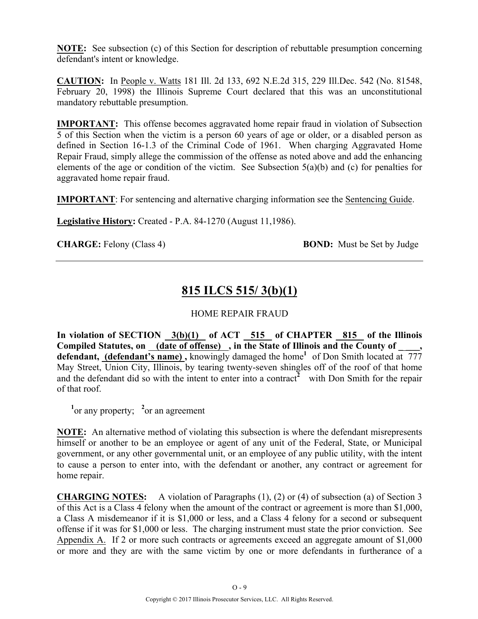**NOTE:** See subsection (c) of this Section for description of rebuttable presumption concerning defendant's intent or knowledge.

**CAUTION:** In People v. Watts 181 Ill. 2d 133, 692 N.E.2d 315, 229 Ill.Dec. 542 (No. 81548, February 20, 1998) the Illinois Supreme Court declared that this was an unconstitutional mandatory rebuttable presumption.

**IMPORTANT:** This offense becomes aggravated home repair fraud in violation of Subsection 5 of this Section when the victim is a person 60 years of age or older, or a disabled person as defined in Section 16-1.3 of the Criminal Code of 1961. When charging Aggravated Home Repair Fraud, simply allege the commission of the offense as noted above and add the enhancing elements of the age or condition of the victim. See Subsection 5(a)(b) and (c) for penalties for aggravated home repair fraud.

**IMPORTANT**: For sentencing and alternative charging information see the Sentencing Guide.

**Legislative History:** Created - P.A. 84-1270 (August 11,1986).

**CHARGE:** Felony (Class 4) **BOND:** Must be Set by Judge

## **815 ILCS 515/ 3(b)(1)**

#### HOME REPAIR FRAUD

**In violation of SECTION 3(b)(1) of ACT 515 of CHAPTER 815 of the Illinois Compiled Statutes, on (date of offense) , in the State of Illinois and the County of \_ \_\_\_, defendant, (defendant's name) ,** knowingly damaged the home**<sup>1</sup>**of Don Smith located at 777 May Street, Union City, Illinois, by tearing twenty-seven shingles off of the roof of that home and the defendant did so with the intent to enter into a contract<sup>2</sup> with Don Smith for the repair of that roof.

<sup>1</sup><sup>or</sup> any property; <sup>2</sup><sup>or</sup> an agreement

**NOTE:** An alternative method of violating this subsection is where the defendant misrepresents himself or another to be an employee or agent of any unit of the Federal, State, or Municipal government, or any other governmental unit, or an employee of any public utility, with the intent to cause a person to enter into, with the defendant or another, any contract or agreement for home repair.

**CHARGING NOTES:** A violation of Paragraphs (1), (2) or (4) of subsection (a) of Section 3 of this Act is a Class 4 felony when the amount of the contract or agreement is more than \$1,000, a Class A misdemeanor if it is \$1,000 or less, and a Class 4 felony for a second or subsequent offense if it was for \$1,000 or less. The charging instrument must state the prior conviction. See Appendix A. If 2 or more such contracts or agreements exceed an aggregate amount of \$1,000 or more and they are with the same victim by one or more defendants in furtherance of a